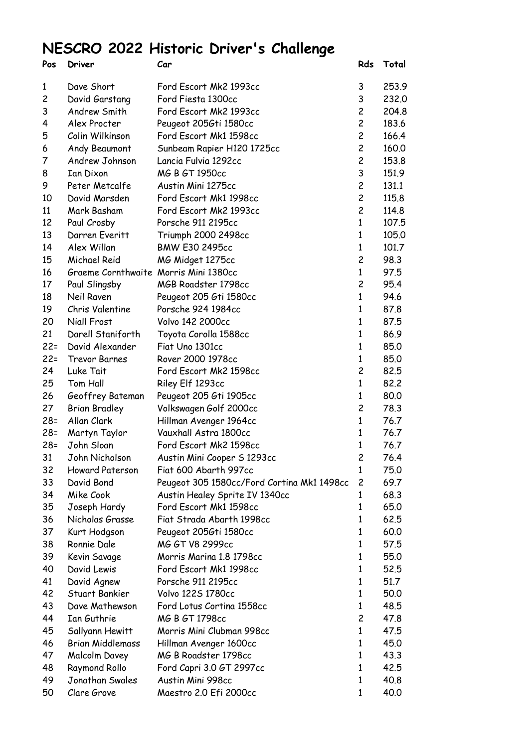## **NESCRO 2022 Historic Driver's Challenge**

| Pos                     | Driver                                | Car                                        | Rds            | Total |
|-------------------------|---------------------------------------|--------------------------------------------|----------------|-------|
| $\mathbf{1}$            | Dave Short                            | Ford Escort Mk2 1993cc                     | 3              | 253.9 |
| $\overline{\mathbf{c}}$ | David Garstang                        | Ford Fiesta 1300cc                         | 3              | 232.0 |
| 3                       | Andrew Smith                          | Ford Escort Mk2 1993cc                     | $\overline{c}$ | 204.8 |
| 4                       | Alex Procter                          | Peugeot 2056ti 1580cc                      |                | 183.6 |
| 5                       | Colin Wilkinson                       | Ford Escort Mk1 1598cc                     |                | 166.4 |
| 6                       | Andy Beaumont                         | Sunbeam Rapier H120 1725cc                 |                | 160.0 |
| 7                       | Andrew Johnson                        | Lancia Fulvia 1292cc                       | $\overline{c}$ | 153.8 |
| 8                       | <b>Ian Dixon</b>                      | MG B GT 1950cc                             | 3              | 151.9 |
| 9                       | Peter Metcalfe                        | Austin Mini 1275cc                         | $\overline{c}$ | 131.1 |
| 10                      | David Marsden                         | Ford Escort Mk1 1998cc                     | $\overline{c}$ | 115.8 |
| 11                      | Mark Basham                           | Ford Escort Mk2 1993cc                     | $\overline{c}$ | 114.8 |
| 12                      | Paul Crosby                           | Porsche 911 2195cc                         | 1              | 107.5 |
| 13                      | Darren Everitt                        | Triumph 2000 2498cc                        | $\mathbf{1}$   | 105.0 |
| 14                      | Alex Willan                           | <b>BMW E30 2495cc</b>                      | 1              | 101.7 |
| 15                      | Michael Reid                          | MG Midget 1275cc                           | $\overline{c}$ | 98.3  |
| 16                      | Graeme Cornthwaite Morris Mini 1380cc |                                            | $\mathbf{1}$   | 97.5  |
| 17                      | Paul Slingsby                         | MGB Roadster 1798cc                        | $\overline{c}$ | 95.4  |
| 18                      | Neil Raven                            | Peugeot 205 Gti 1580cc                     | $\mathbf{1}$   | 94.6  |
| 19                      | Chris Valentine                       | Porsche 924 1984cc                         | $\mathbf{1}$   | 87.8  |
| 20                      | Niall Frost                           | <b>Volvo 142 2000cc</b>                    | 1              | 87.5  |
| 21                      | Darell Staniforth                     | Toyota Corolla 1588cc                      | 1              | 86.9  |
| $22 =$                  | David Alexander                       | Fiat Uno 1301cc                            | $\mathbf{1}$   | 85.0  |
| $22 =$                  | <b>Trevor Barnes</b>                  | Rover 2000 1978cc                          | $\mathbf{1}$   | 85.0  |
| 24                      | Luke Tait                             | Ford Escort Mk2 1598cc                     | $\overline{c}$ | 82.5  |
| 25                      | Tom Hall                              | Riley Elf 1293cc                           | $\mathbf{1}$   | 82.2  |
| 26                      | Geoffrey Bateman                      | Peugeot 205 Gti 1905cc                     | 1              | 80.0  |
| 27                      | <b>Brian Bradley</b>                  | Volkswagen Golf 2000cc                     | $\overline{c}$ | 78.3  |
| $28 =$                  | Allan Clark                           | Hillman Avenger 1964cc                     | $\mathbf{1}$   | 76.7  |
| $28 =$                  | Martyn Taylor                         | Vauxhall Astra 1800cc                      | 1              | 76.7  |
| $28 =$                  | John Sloan                            | Ford Escort Mk2 1598cc                     | $\mathbf{1}$   | 76.7  |
| 31                      | John Nicholson                        | Austin Mini Cooper S 1293cc                | 2              | 76.4  |
| 32                      | Howard Paterson                       | Fiat 600 Abarth 997cc                      | 1              | 75.0  |
| 33                      | David Bond                            | Peugeot 305 1580cc/Ford Cortina Mk1 1498cc | $\overline{c}$ | 69.7  |
| 34                      | Mike Cook                             | Austin Healey Sprite IV 1340cc             | 1              | 68.3  |
| 35                      | Joseph Hardy                          | Ford Escort Mk1 1598cc                     | 1              | 65.0  |
| 36                      | Nicholas Grasse                       | Fiat Strada Abarth 1998cc                  | 1              | 62.5  |
| 37                      | Kurt Hodgson                          | Peugeot 2056ti 1580cc                      | 1              | 60.0  |
| 38                      | Ronnie Dale                           | MG GT V8 2999cc                            | 1              | 57.5  |
| 39                      | Kevin Savage                          | Morris Marina 1.8 1798cc                   | 1              | 55.0  |
| 40                      | David Lewis                           | Ford Escort Mk1 1998cc                     | 1              | 52.5  |
| 41                      | David Agnew                           | Porsche 911 2195cc                         | 1              | 51.7  |
| 42                      | Stuart Bankier                        | Volvo 1225 1780cc                          | 1              | 50.0  |
| 43                      | Dave Mathewson                        | Ford Lotus Cortina 1558cc                  | 1              | 48.5  |
| 44                      | Ian Guthrie                           | MG B GT 1798cc                             | $\overline{c}$ | 47.8  |
| 45                      | Sallyann Hewitt                       | Morris Mini Clubman 998cc                  | 1              | 47.5  |
| 46                      | <b>Brian Middlemass</b>               | Hillman Avenger 1600cc                     | 1              | 45.0  |
| 47                      | Malcolm Davey                         | MG B Roadster 1798cc                       | $\mathbf{1}$   | 43.3  |
| 48                      | Raymond Rollo                         | Ford Capri 3.0 GT 2997cc                   | 1              | 42.5  |
| 49                      | Jonathan Swales                       | Austin Mini 998cc                          | 1              | 40.8  |
| 50                      | Clare Grove                           | Maestro 2.0 Efi 2000cc                     | 1              | 40.0  |